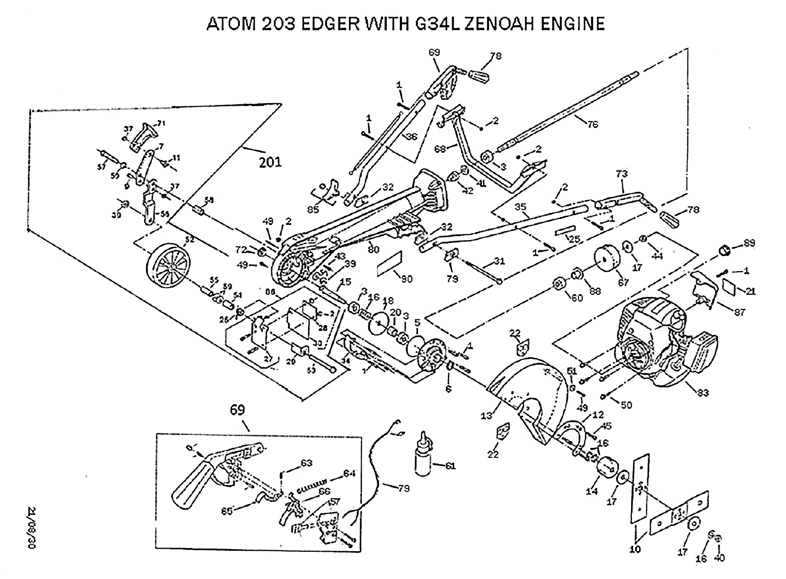## ATOM 203 EDGER WITH G34L ZENOAH ENGINE